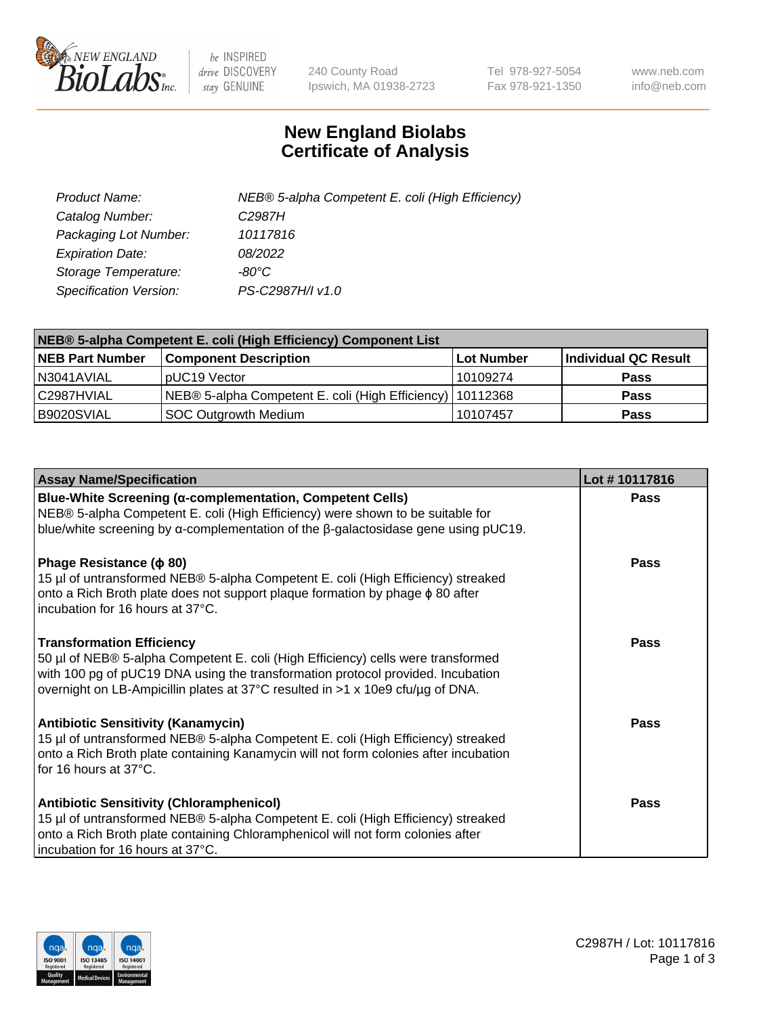

 $be$  INSPIRED drive DISCOVERY stay GENUINE

240 County Road Ipswich, MA 01938-2723 Tel 978-927-5054 Fax 978-921-1350 www.neb.com info@neb.com

## **New England Biolabs Certificate of Analysis**

| Product Name:           | NEB® 5-alpha Competent E. coli (High Efficiency) |
|-------------------------|--------------------------------------------------|
| Catalog Number:         | C <sub>2987</sub> H                              |
| Packaging Lot Number:   | 10117816                                         |
| <b>Expiration Date:</b> | 08/2022                                          |
| Storage Temperature:    | -80°C                                            |
| Specification Version:  | PS-C2987H/I v1.0                                 |

| NEB® 5-alpha Competent E. coli (High Efficiency) Component List |                                                             |            |                      |  |
|-----------------------------------------------------------------|-------------------------------------------------------------|------------|----------------------|--|
| <b>NEB Part Number</b>                                          | <b>Component Description</b>                                | Lot Number | Individual QC Result |  |
| N3041AVIAL                                                      | pUC19 Vector                                                | 10109274   | <b>Pass</b>          |  |
| C2987HVIAL                                                      | NEB® 5-alpha Competent E. coli (High Efficiency)   10112368 |            | <b>Pass</b>          |  |
| B9020SVIAL                                                      | SOC Outgrowth Medium                                        | 10107457   | <b>Pass</b>          |  |

| <b>Assay Name/Specification</b>                                                                                                                                                                                                                                                           | Lot #10117816 |
|-------------------------------------------------------------------------------------------------------------------------------------------------------------------------------------------------------------------------------------------------------------------------------------------|---------------|
| Blue-White Screening (α-complementation, Competent Cells)<br>NEB® 5-alpha Competent E. coli (High Efficiency) were shown to be suitable for<br>blue/white screening by $\alpha$ -complementation of the $\beta$ -galactosidase gene using pUC19.                                          | Pass          |
| Phage Resistance ( $\phi$ 80)<br>15 µl of untransformed NEB® 5-alpha Competent E. coli (High Efficiency) streaked<br>onto a Rich Broth plate does not support plaque formation by phage φ 80 after<br>incubation for 16 hours at 37°C.                                                    | Pass          |
| <b>Transformation Efficiency</b><br>50 µl of NEB® 5-alpha Competent E. coli (High Efficiency) cells were transformed<br>with 100 pg of pUC19 DNA using the transformation protocol provided. Incubation<br>overnight on LB-Ampicillin plates at 37°C resulted in >1 x 10e9 cfu/µg of DNA. | Pass          |
| <b>Antibiotic Sensitivity (Kanamycin)</b><br>15 µl of untransformed NEB® 5-alpha Competent E. coli (High Efficiency) streaked<br>onto a Rich Broth plate containing Kanamycin will not form colonies after incubation<br>for 16 hours at 37°C.                                            | Pass          |
| <b>Antibiotic Sensitivity (Chloramphenicol)</b><br>15 µl of untransformed NEB® 5-alpha Competent E. coli (High Efficiency) streaked<br>onto a Rich Broth plate containing Chloramphenicol will not form colonies after<br>incubation for 16 hours at 37°C.                                | Pass          |

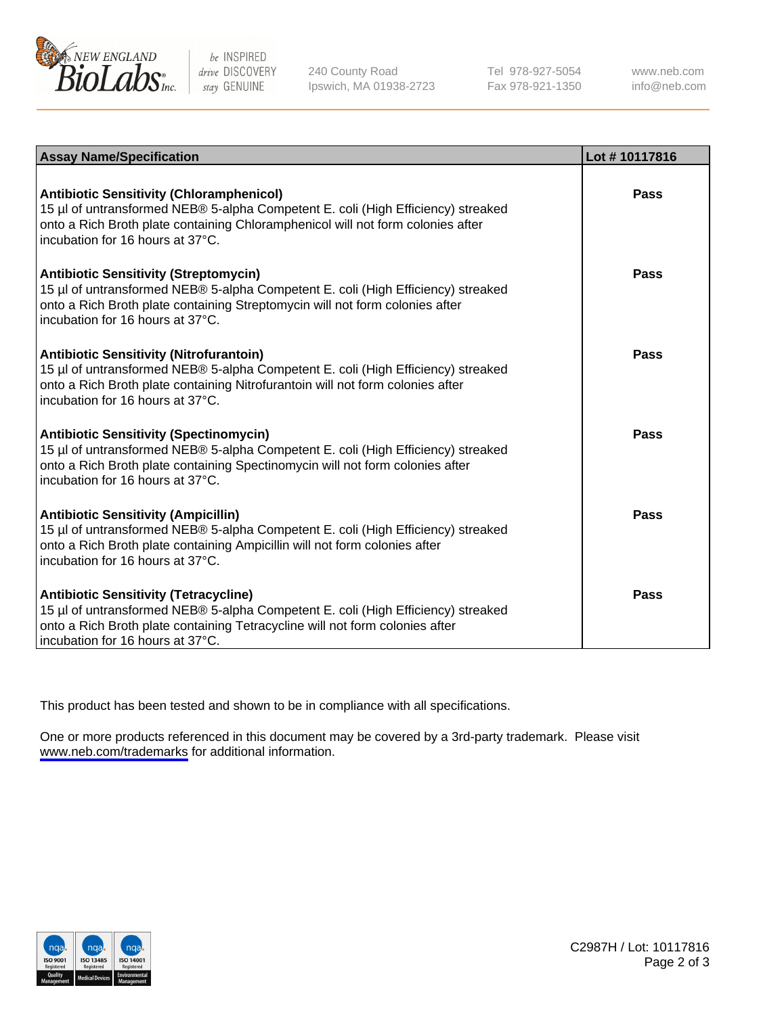

be INSPIRED drive DISCOVERY stay GENUINE

240 County Road Ipswich, MA 01938-2723 Tel 978-927-5054 Fax 978-921-1350

www.neb.com info@neb.com

| <b>Assay Name/Specification</b>                                                                                                                                                                                                                            | Lot #10117816 |
|------------------------------------------------------------------------------------------------------------------------------------------------------------------------------------------------------------------------------------------------------------|---------------|
| <b>Antibiotic Sensitivity (Chloramphenicol)</b><br>15 µl of untransformed NEB® 5-alpha Competent E. coli (High Efficiency) streaked<br>onto a Rich Broth plate containing Chloramphenicol will not form colonies after<br>incubation for 16 hours at 37°C. | Pass          |
| <b>Antibiotic Sensitivity (Streptomycin)</b><br>15 µl of untransformed NEB® 5-alpha Competent E. coli (High Efficiency) streaked<br>onto a Rich Broth plate containing Streptomycin will not form colonies after<br>incubation for 16 hours at 37°C.       | Pass          |
| <b>Antibiotic Sensitivity (Nitrofurantoin)</b><br>15 µl of untransformed NEB® 5-alpha Competent E. coli (High Efficiency) streaked<br>onto a Rich Broth plate containing Nitrofurantoin will not form colonies after<br>incubation for 16 hours at 37°C.   | Pass          |
| <b>Antibiotic Sensitivity (Spectinomycin)</b><br>15 µl of untransformed NEB® 5-alpha Competent E. coli (High Efficiency) streaked<br>onto a Rich Broth plate containing Spectinomycin will not form colonies after<br>incubation for 16 hours at 37°C.     | Pass          |
| <b>Antibiotic Sensitivity (Ampicillin)</b><br>15 µl of untransformed NEB® 5-alpha Competent E. coli (High Efficiency) streaked<br>onto a Rich Broth plate containing Ampicillin will not form colonies after<br>incubation for 16 hours at 37°C.           | Pass          |
| <b>Antibiotic Sensitivity (Tetracycline)</b><br>15 µl of untransformed NEB® 5-alpha Competent E. coli (High Efficiency) streaked<br>onto a Rich Broth plate containing Tetracycline will not form colonies after<br>incubation for 16 hours at 37°C.       | Pass          |

This product has been tested and shown to be in compliance with all specifications.

One or more products referenced in this document may be covered by a 3rd-party trademark. Please visit <www.neb.com/trademarks>for additional information.